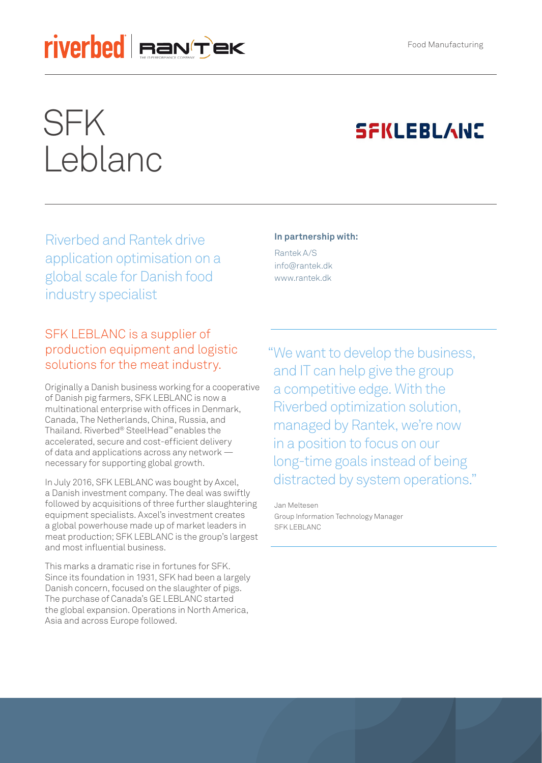# riverbed Fan'tek

# SFK Leblanc

## **SFKLEBLANS**

Riverbed and Rantek drive application optimisation on a global scale for Danish food industry specialist

#### **In partnership with:**

Rantek A/S info@rantek.dk www.rantek.dk

#### SFK LEBLANC is a supplier of production equipment and logistic solutions for the meat industry.

Originally a Danish business working for a cooperative of Danish pig farmers, SFK LEBLANC is now a multinational enterprise with offices in Denmark, Canada, The Netherlands, China, Russia, and Thailand. Riverbed® SteelHead™ enables the accelerated, secure and cost-efficient delivery of data and applications across any network necessary for supporting global growth.

In July 2016, SFK LEBLANC was bought by Axcel, a Danish investment company. The deal was swiftly followed by acquisitions of three further slaughtering equipment specialists. Axcel's investment creates a global powerhouse made up of market leaders in meat production; SFK LEBLANC is the group's largest and most influential business.

This marks a dramatic rise in fortunes for SFK. Since its foundation in 1931, SFK had been a largely Danish concern, focused on the slaughter of pigs. The purchase of Canada's GE LEBLANC started the global expansion. Operations in North America, Asia and across Europe followed.

"We want to develop the business, and IT can help give the group a competitive edge. With the Riverbed optimization solution, managed by Rantek, we're now in a position to focus on our long-time goals instead of being distracted by system operations."

Jan Meltesen Group Information Technology Manager SFK LEBLANC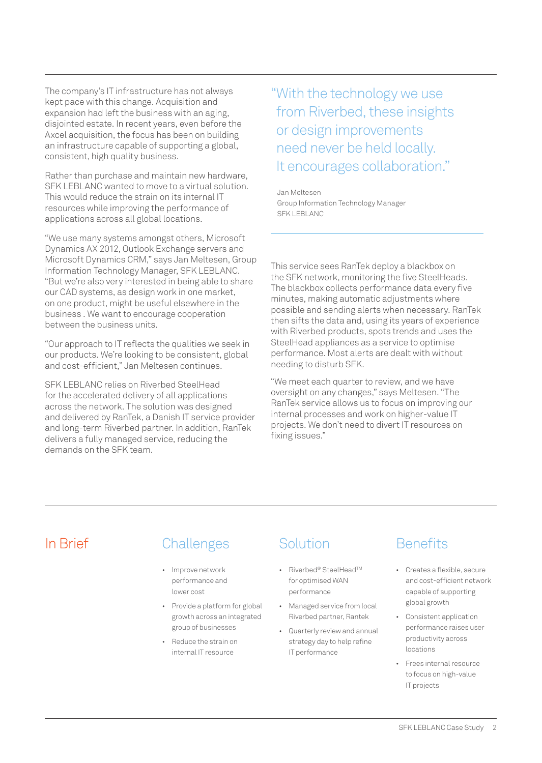The company's IT infrastructure has not always kept pace with this change. Acquisition and expansion had left the business with an aging, disjointed estate. In recent years, even before the Axcel acquisition, the focus has been on building an infrastructure capable of supporting a global, consistent, high quality business.

Rather than purchase and maintain new hardware, SFK LEBLANC wanted to move to a virtual solution. This would reduce the strain on its internal IT resources while improving the performance of applications across all global locations.

"We use many systems amongst others, Microsoft Dynamics AX 2012, Outlook Exchange servers and Microsoft Dynamics CRM," says Jan Meltesen, Group Information Technology Manager, SFK LEBLANC. "But we're also very interested in being able to share our CAD systems, as design work in one market, on one product, might be useful elsewhere in the business . We want to encourage cooperation between the business units.

"Our approach to IT reflects the qualities we seek in our products. We're looking to be consistent, global and cost-efficient," Jan Meltesen continues.

SFK LEBLANC relies on Riverbed SteelHead for the accelerated delivery of all applications across the network. The solution was designed and delivered by RanTek, a Danish IT service provider and long-term Riverbed partner. In addition, RanTek delivers a fully managed service, reducing the demands on the SFK team.

"With the technology we use from Riverbed, these insights or design improvements need never be held locally. It encourages collaboration."

Jan Meltesen Group Information Technology Manager SFK LEBLANC

This service sees RanTek deploy a blackbox on the SFK network, monitoring the five SteelHeads. The blackbox collects performance data every five minutes, making automatic adjustments where possible and sending alerts when necessary. RanTek then sifts the data and, using its years of experience with Riverbed products, spots trends and uses the SteelHead appliances as a service to optimise performance. Most alerts are dealt with without needing to disturb SFK.

"We meet each quarter to review, and we have oversight on any changes," says Meltesen. "The RanTek service allows us to focus on improving our internal processes and work on higher-value IT projects. We don't need to divert IT resources on fixing issues."

#### In Brief Challenges

- Improve network performance and lower cost
- Provide a platform for global growth across an integrated group of businesses
- Reduce the strain on internal IT resource

#### **Solution**

- Riverbed® SteelHeadTM for optimised WAN performance
- Managed service from local Riverbed partner, Rantek
- Quarterly review and annual strategy day to help refine IT performance

### **Benefits**

- Creates a flexible, secure and cost-efficient network capable of supporting global growth
- Consistent application performance raises user productivity across locations
- Frees internal resource to focus on high-value IT projects